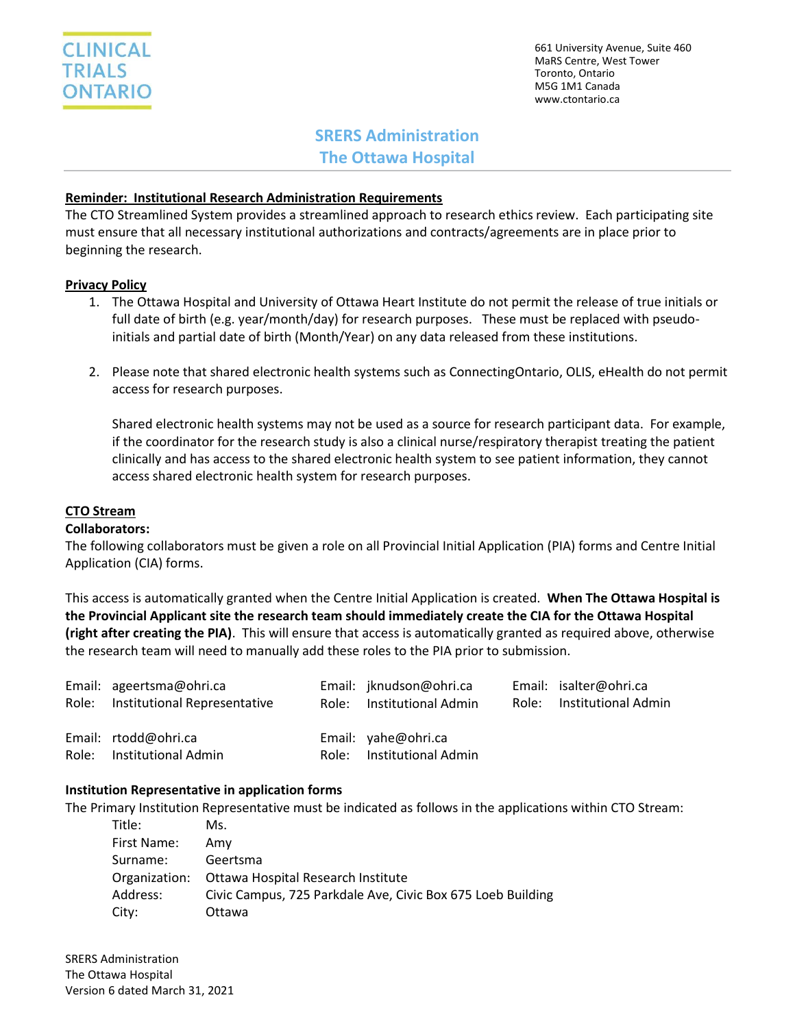661 University Avenue, Suite 460 MaRS Centre, West Tower Toronto, Ontario M5G 1M1 Canada www.ctontario.ca

# **SRERS Administration The Ottawa Hospital**

## **Reminder: Institutional Research Administration Requirements**

The CTO Streamlined System provides a streamlined approach to research ethics review. Each participating site must ensure that all necessary institutional authorizations and contracts/agreements are in place prior to beginning the research.

#### **Privacy Policy**

- 1. The Ottawa Hospital and University of Ottawa Heart Institute do not permit the release of true initials or full date of birth (e.g. year/month/day) for research purposes. These must be replaced with pseudoinitials and partial date of birth (Month/Year) on any data released from these institutions.
- 2. Please note that shared electronic health systems such as ConnectingOntario, OLIS, eHealth do not permit access for research purposes.

Shared electronic health systems may not be used as a source for research participant data. For example, if the coordinator for the research study is also a clinical nurse/respiratory therapist treating the patient clinically and has access to the shared electronic health system to see patient information, they cannot access shared electronic health system for research purposes.

## **CTO Stream**

#### **Collaborators:**

The following collaborators must be given a role on all Provincial Initial Application (PIA) forms and Centre Initial Application (CIA) forms.

This access is automatically granted when the Centre Initial Application is created. **When The Ottawa Hospital is the Provincial Applicant site the research team should immediately create the CIA for the Ottawa Hospital (right after creating the PIA)**. This will ensure that access is automatically granted as required above, otherwise the research team will need to manually add these roles to the PIA prior to submission.

| Role: | Email: ageertsma@ohri.ca<br>Institutional Representative | Email: jknudson@ohri.ca<br>Role: Institutional Admin | Email: isalter@ohri.ca<br>Role: Institutional Admin |
|-------|----------------------------------------------------------|------------------------------------------------------|-----------------------------------------------------|
|       | Email: rtodd@ohri.ca<br>Role: Institutional Admin        | Email: yahe@ohri.ca<br>Role: Institutional Admin     |                                                     |

#### **Institution Representative in application forms**

The Primary Institution Representative must be indicated as follows in the applications within CTO Stream:

| Title:      | Ms.                                                         |
|-------------|-------------------------------------------------------------|
| First Name: | Amv                                                         |
| Surname:    | Geertsma                                                    |
|             | Organization: Ottawa Hospital Research Institute            |
| Address:    | Civic Campus, 725 Parkdale Ave, Civic Box 675 Loeb Building |
| City:       | Ottawa                                                      |

SRERS Administration The Ottawa Hospital Version 6 dated March 31, 2021